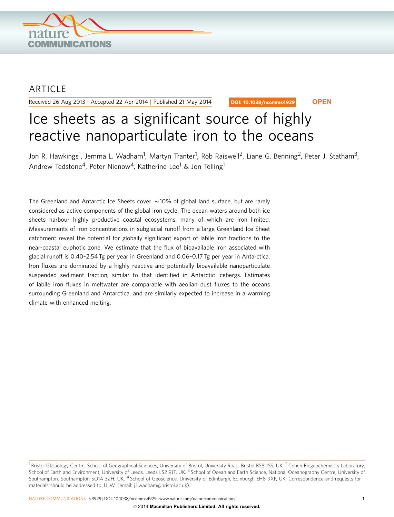

## ARTICLE

Received 26 Aug 2013 | Accepted 22 Apr 2014 | Published 21 May 2014

DOI: 10.1038/ncomms4929 **OPEN**

# Ice sheets as a significant source of highly reactive nanoparticulate iron to the oceans

Jon R. Hawkings<sup>1</sup>, Jemma L. Wadham<sup>1</sup>, Martyn Tranter<sup>1</sup>, Rob Raiswell<sup>2</sup>, Liane G. Benning<sup>2</sup>, Peter J. Statham<sup>3</sup>, Andrew Tedstone<sup>4</sup>, Peter Nienow<sup>4</sup>, Katherine Lee<sup>1</sup> & Jon Telling<sup>1</sup>

The Greenland and Antarctic Ice Sheets cover  $\sim$  10% of global land surface, but are rarely considered as active components of the global iron cycle. The ocean waters around both ice sheets harbour highly productive coastal ecosystems, many of which are iron limited. Measurements of iron concentrations in subglacial runoff from a large Greenland Ice Sheet catchment reveal the potential for globally significant export of labile iron fractions to the near-coastal euphotic zone. We estimate that the flux of bioavailable iron associated with glacial runoff is 0.40–2.54 Tg per year in Greenland and 0.06–0.17 Tg per year in Antarctica. Iron fluxes are dominated by a highly reactive and potentially bioavailable nanoparticulate suspended sediment fraction, similar to that identified in Antarctic icebergs. Estimates of labile iron fluxes in meltwater are comparable with aeolian dust fluxes to the oceans surrounding Greenland and Antarctica, and are similarly expected to increase in a warming climate with enhanced melting.

 $1$ Bristol Glaciology Centre, School of Geographical Sciences, University of Bristol, University Road, Bristol BS8 1SS, UK. <sup>2</sup> Cohen Biogeochemistry Laboratory, School of Earth and Environment, University of Leeds, Leeds LS2 9JT, UK.<sup>3</sup> School of Ocean and Earth Science, National Oceanography Centre, University of Southampton, Southampton SO14 3ZH, UK. <sup>4</sup> School of Geoscience, University of Edinburgh, Edinburgh EH8 9XP, UK. Correspondence and requests for materials should be addressed to J.L.W. (email: [j.l.wadham@bristol.ac.uk\)](mailto:j.l.wadham@bristol.ac.uk).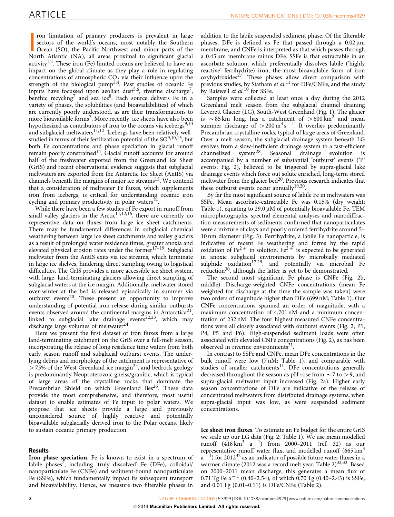I con limitation of primary producers is prevalent in large sectors of the world's oceans, most notably the Southern Ocean (SO), the Pacific Northwest and minor parts of the North Atlantic (NA), all areas proximal to signi ron limitation of primary producers is prevalent in large sectors of the world's oceans, most notably the Southern Ocean (SO), the Pacific Northwest and minor parts of the activity<sup>1,2</sup>. These iron (Fe) limited oceans are believed to have an impact on the global climate as they play a role in regulating concentrations of atmospheric  $CO<sub>2</sub>$  via their influence upon the strength of the biological pump<sup>[3,4](#page-6-0)</sup>. Past studies of oceanic Fe inputs have focussed upon aeolian dust<sup>[5,6](#page-6-0)</sup>, riverine discharge<sup>7</sup>, benthic recycling<sup>[7](#page-6-0)</sup> and sea ice<sup>[8](#page-6-0)</sup>. Each source delivers Fe in a variety of phases, the solubilities (and bioavailabilities) of which are currently poorly understood, as are their transformations to more bioavailable forms<sup>[7](#page-6-0)</sup>. More recently, ice sheets have also been hypothesized as contributors of iron to the oceans via icebergs<sup>[9,10](#page-6-0)</sup> and subglacial meltwaters<sup>11,12</sup>. Icebergs have been relatively wellstudied in terms of their fertilization potential of the  $SO^{9,10,13}$ , but both Fe concentrations and phase speciation in glacial runoff remain poorly constrained<sup>14</sup>. Glacial runoff accounts for around half of the freshwater exported from the Greenland Ice Sheet (GrIS) and recent observational evidence suggests that subglacial meltwaters are exported from the Antarctic Ice Sheet (AntIS) via channels beneath the margins of major ice streams<sup>[15](#page-6-0)</sup>. We contend that a consideration of meltwater Fe fluxes, which supplements iron from icebergs, is critical for understanding oceanic iron cycling and primary productivity in polar waters $^{14}$ .

While there have been a few studies of Fe export in runoff from small valley glaciers in the Arctic $11,12,16$ , there are currently no representive data on fluxes from large ice sheet catchments. There may be fundamental differences in subglacial chemical weathering between large ice sheet catchments and valley glaciers as a result of prolonged water residence times, greater anoxia and elevated physical erosion rates under the former $17-19$ . Subglacial meltwater from the AntIS exits via ice streams, which terminate in large ice shelves, hindering direct sampling owing to logistical difficulties. The GrIS provides a more accessible ice sheet system, with large, land-terminating glaciers allowing direct sampling of subglacial waters at the ice margin. Additionally, meltwater stored over-winter at the bed is released episodically in summer via outburst events<sup>[20](#page-6-0)</sup>. These present an opportunity to improve understanding of potential iron release during similar outbursts events observed around the continental margins in Antarctica<sup>21</sup>, linked to subglacial lake drainage events<sup>22,23</sup>, which may discharge large volumes of meltwater<sup>24</sup>.

Here we present the first dataset of iron fluxes from a large land-terminating catchment on the GrIS over a full-melt season, incorporating the release of long residence time waters from both early season runoff and subglacial outburst events. The underlying debris and morphology of the catchment is representative of  $>$  75% of the West Greenland ice margin<sup>[25](#page-6-0)</sup>, and bedrock geology is predominantly Neoproterozoic gneiss/granitic, which is typical of large areas of the crystalline rocks that dominate the Precambrian Shield on which Greenland lies<sup>26</sup>. These data provide the most comprehensive, and therefore, most useful dataset to enable estimates of Fe input to polar waters. We propose that ice sheets provide a large and previously unconsidered source of highly reactive and potentially bioavailable subglacially derived iron to the Polar oceans, likely to sustain oceanic primary production.

### Results

Iron phase speciation. Fe is known to exist in a spectrum of labile phases<sup>[7](#page-6-0)</sup>, including 'truly dissolved' Fe (DFe), colloidal/ nanoparticulate Fe (CNFe) and sediment-bound nanoparticulate Fe (SSFe), which fundamentally impact its subsequent transport and bioavailability. Hence, we measure two filterable phases in

addition to the labile suspended sediment phase. Of the filterable phases, DFe is defined as Fe that passed through a  $0.02 \mu m$ membrane, and CNFe is interpreted as that which passes through a 0.45 µm membrane minus DFe. SSFe is that extractable in an ascorbate solution, which preferentially dissolves labile ('highly reactive' ferrihydrite) iron, the most bioavailable form of iron  $oxv$ hydroxides<sup>[27](#page-6-0)</sup>. These phases allow direct comparison with previous studies, by Statham et al.<sup>[11](#page-6-0)</sup> for DFe/CNFe, and the study by Raiswell *et al.*<sup>[10](#page-6-0)</sup> for SSFe.

Samples were collected at least once a day during the 2012 Greenland melt season from the subglacial channel draining Leverett Glacier (LG), South-West Greenland [\(Fig. 1](#page-2-0)). The glacier is  $\sim$ 85 km long, has a catchment of  $>$ 600 km<sup>2</sup> and mean summer discharge of  $>$  200 m<sup>3</sup> s<sup>-1</sup>. It overlies predominantly Precambrian crystalline rocks, typical of large areas of Greenland. Over a melt season, the subglacial drainage system beneath LG evolves from a slow-inefficient drainage system to a fast-efficient channelized system<sup>28</sup>. Seasonal drainage evolution is accompanied by a number of substantial 'outburst' events ('P' events; [Fig. 2\)](#page-2-0), believed to be triggered by supra-glacial lake drainage events which force out solute enriched, long-term stored meltwater from the glacier bed $^{20}$  $^{20}$  $^{20}$ . Previous research indicates that these outburst events occur annually<sup>19,20</sup>.

By far the most significant source of labile Fe in meltwaters was SSFe. Mean ascorbate-extractable Fe was 0.15% (dry weight; [Table 1\)](#page-3-0), equating to  $29.0 \mu M$  of potentially bioavailable Fe. TEM microphotographs, spectral elemental analyses and nanodiffraction measurements of sediments confirmed that nanoparticulates were a mixture of clays and poorly ordered ferrihydrite around 5– 10 nm diameter [\(Fig. 3\)](#page-3-0). Ferrihydrite, a labile Fe nanoparticle, is indicative of recent Fe weathering and forms by the rapid oxidation of Fe<sup>2+</sup> in solution. Fe<sup>2+</sup> is expected to be generated in anoxic subglacial environments by microbially mediated subphide oxidation<sup>17,29</sup>, and potentially via microbial Fe reduction<sup>[30](#page-6-0)</sup>, although the latter is yet to be demonstrated.

The second most significant Fe phase is CNFe ([Fig. 2b,](#page-2-0) middle). Discharge-weighted CNFe concentrations (mean Fe weighted for discharge at the time the sample was taken) were two orders of magnitude higher than DFe (699 nM; [Table 1](#page-3-0)). Our CNFe concentrations spanned an order of magnitude, with a maximum concentration of 4,701 nM and a minimum concentration of 232 nM. The four highest measured CNFe concentrations were all closely associated with outburst events [\(Fig. 2;](#page-2-0) P1, P4, P5 and P6). High-suspended sediment loads were often associated with elevated CNFe concentrations [\(Fig. 2\)](#page-2-0), as has been observed in riverine environments $31$ .

In contrast to SSFe and CNFe, mean DFe concentrations in the bulk runoff were low (7 nM; [Table 1](#page-3-0)), and comparable with studies of smaller catchments $11$ . DFe concentrations generally decreased throughout the season as pH rose from  $\sim$  7 to  $>$  9, and supra-glacial meltwater input increased ([Fig. 2a\)](#page-2-0). Higher early season concentrations of DFe are indicative of the release of concentrated meltwaters from distributed drainage systems, when supra-glacial input was low, as were suspended sediment concentrations.

Ice sheet iron fluxes. To estimate an Fe budget for the entire GrIS we scale up our LG data [\(Fig. 2](#page-2-0); [Table 1\)](#page-3-0). We use mean modelled runoff  $(418 \text{ km}^3 \text{ a}^{-1})$  from 2000–2011 [\(ref. 32](#page-6-0)) as our representative runoff water flux, and modelled runoff  $(665 \text{ km}^3)$  $a<sup>-1</sup>$ ) for 2012<sup>[32](#page-6-0)</sup> as an indicator of possible future water fluxes in a warmer climate (2012 was a record melt year; [Table 2\)](#page-4-0)<sup>[32,33](#page-6-0)</sup>. Based on 2000–2011 mean discharge, this generates a mean flux of 0.71 Tg Fe a<sup>-1</sup> (0.40-2.54), of which 0.70 Tg (0.40-2.43) is SSFe, and 0.01 Tg (0.01–0.11) is DFe/CNFe ([Table 2](#page-4-0)).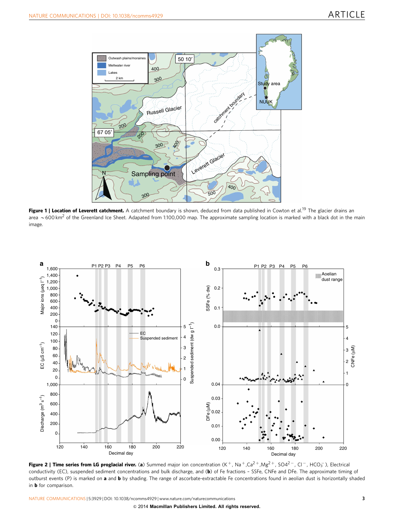<span id="page-2-0"></span>

Figure 1 | Location of Leverett catchment. A catchment boundary is shown, deduced from data published in Cowton et al.<sup>[19](#page-6-0)</sup> The glacier drains an area  $\sim$  600 km<sup>2</sup> of the Greenland Ice Sheet. Adapated from 1:100,000 map. The approximate sampling location is marked with a black dot in the main image.



Figure 2 | Time series from LG proglacial river. (a) Summed major ion concentration (K<sup>+</sup>, Na<sup>+</sup>,Ca<sup>2+</sup>,Mg<sup>2+</sup>, SO4<sup>2-</sup>, Cl<sup>-</sup>, HCO<sub>3</sub><sup>-</sup>), Electrical conductivity (EC), suspended sediment concentrations and bulk discharge, and (b) of Fe fractions - SSFe, CNFe and DFe. The approximate timing of outburst events (P) is marked on a and b by shading. The range of ascorbate-extractable Fe concentrations found in aeolian dust is horizontally shaded in **b** for comparison.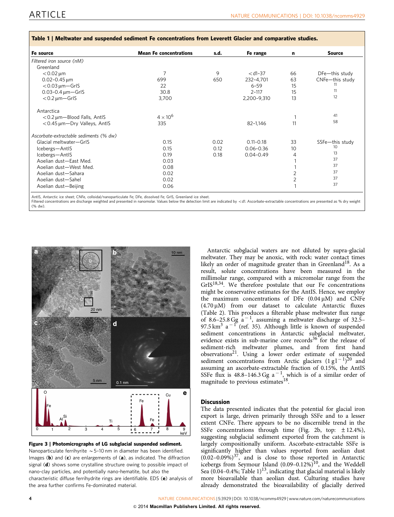| Fe source                              | <b>Mean Fe concentrations</b> | s.d. | Fe range      | n  | <b>Source</b>   |
|----------------------------------------|-------------------------------|------|---------------|----|-----------------|
| Filtered iron source (nM)              |                               |      |               |    |                 |
| Greenland                              |                               |      |               |    |                 |
| $< 0.02 \,\mathrm{\mu m}$              | $\overline{7}$                | 9    | $<$ d1-37     | 66 | DFe-this study  |
| $0.02 - 0.45 \,\text{\textmu m}$       | 699                           | 650  | 232-4,701     | 63 | CNFe-this study |
| $<$ 0.03 $\mu$ m - GrIS                | 22                            |      | $6 - 59$      | 15 | 11              |
| $0.03 - 0.4 \,\mu m - Gr$ IS           | 30.8                          |      | $2 - 117$     | 15 | 11              |
| $<$ 0.2 $\mu$ m - GrIS                 | 3,700                         |      | 2,200-9,310   | 13 | 12              |
| Antarctica                             |                               |      |               |    |                 |
| $<$ 0.2 $\mu$ m – Blood Falls, AntlS   | $4 \times 10^6$               |      |               |    | 41              |
| <0.45 µm-Dry Valleys, AntlS            | 335                           |      | 82-1,146      | 11 | 58              |
| Ascorbate-extractable sediments (% dw) |                               |      |               |    |                 |
| Glacial meltwater-GrIS                 | 0.15                          | 0.02 | $0.11 - 0.18$ | 33 | SSFe-this study |
| Icebergs-AntIS                         | 0.15                          | 0.12 | $0.06 - 0.36$ | 10 | 10              |
| Icebergs-AntIS                         | 0.19                          | 0.18 | $0.04 - 0.49$ | 4  | 13              |
| Aoelian dust-East Med.                 | 0.03                          |      |               |    | 37              |
| Aoelian dust-West Med.                 | 0.08                          |      |               |    | 37              |
| Aoelian dust-Sahara                    | 0.02                          |      |               |    | 37              |
| Aoelian dust-Sahel                     | 0.02                          |      |               |    | 37              |
| Aoelian dust-Beijing                   | 0.06                          |      |               |    | 37              |

#### <span id="page-3-0"></span>Table 1 | Meltwater and suspended sediment Fe concentrations from Leverett Glacier and comparative studies.

AntIS, Antarctic ice sheet; CNFe, colloidal/nanoparticulate Fe; DFe, dissolved Fe; GrIS, Greenland ice sheet.

Filtered concentrations are discharge weighted and presented in nanomolar. Values below the detection limit are indicated by <d1. Ascorbate-extractable concentrations are presented as % dry weight (% dw).





Antarctic subglacial waters are not diluted by supra-glacial meltwater. They may be anoxic, with rock: water contact times likely an order of magnitude greater than in Greenland<sup>[18](#page-6-0)</sup>. As a result, solute concentrations have been measured in the millimolar range, compared with a micromolar range from the  $GrIS^{18,34}$ . We therefore postulate that our Fe concentrations might be conservative estimates for the AntIS. Hence, we employ the maximum concentrations of DFe  $(0.04 \mu M)$  and CNFe  $(4.70 \,\mu\text{M})$  from our dataset to calculate Antarctic fluxes ([Table 2\)](#page-4-0). This produces a filterable phase meltwater flux range of 8.6-25.8 Gg  $a^{-1}$ , assuming a meltwater discharge of 32.5-97.5 km<sup>3</sup> a<sup>-1</sup> [\(ref. 35\)](#page-6-0). Although little is known of suspended sediment concentrations in Antarctic subglacial meltwater, evidence exists in sub-marine core records $36$  for the release of sediment-rich meltwater plumes, and from first hand observations<sup>[21](#page-6-0)</sup>. Using a lower order estimate of suspended sediment concentrations from Arctic glaciers  $(1 g l^{-1})^{20}$  $(1 g l^{-1})^{20}$  $(1 g l^{-1})^{20}$  and assuming an ascorbate-extractable fraction of 0.15%, the AntIS SSFe flux is 48.8-146.3 Gg  $a^{-1}$ , which is of a similar order of magnitude to previous estimates<sup>[18](#page-6-0)</sup>.

#### **Discussion**

The data presented indicates that the potential for glacial iron export is large, driven primarily through SSFe and to a lesser extent CNFe. There appears to be no discernible trend in the SSFe concentrations through time [\(Fig. 2b](#page-2-0), top:  $\pm$  12.4%), suggesting subglacial sediment exported from the catchment is largely compositionally uniform. Ascorbate-extractable SSFe is significantly higher than values reported from aeolian dust  $(0.02-0.09%)^{37}$ , and is close to those reported in Antarctic icebergs from Seymour Island  $(0.09-0.12\%)$ <sup>10</sup>, and the Weddell Sea (0.04–0.4%; Table 1)<sup>13</sup>, indicating that glacial material is likely more bioavailable than aeolian dust. Culturing studies have already demonstrated the bioavailability of glacially derived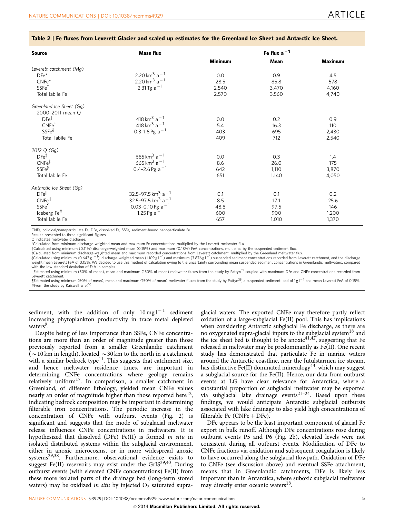<span id="page-4-0"></span>

| <b>Source</b>            | <b>Mass flux</b>                                 |                | Fe flux $a^{-1}$ |                |
|--------------------------|--------------------------------------------------|----------------|------------------|----------------|
|                          |                                                  | <b>Minimum</b> | Mean             | <b>Maximum</b> |
| Leverett catchment (Mg)  |                                                  |                |                  |                |
| $DFe^*$                  | 2.20 km <sup>3</sup> a <sup>-1</sup>             | 0.0            | 0.9              | 4.5            |
| $CNFe*$                  | 2.20 km <sup>3</sup> a <sup>-1</sup>             | 28.5           | 85.8             | 578            |
| SSFe <sup>†</sup>        | 2.31 Tg $a^{-1}$                                 | 2,540          | 3,470            | 4,160          |
| Total labile Fe          |                                                  | 2,570          | 3,560            | 4,740          |
| Greenland Ice Sheet (Gq) |                                                  |                |                  |                |
| 2000-2011 mean Q         |                                                  |                |                  |                |
| $DFe^{\ddagger}$         | 418 km <sup>3</sup> a <sup>-1</sup>              | 0.0            | 0.2              | 0.9            |
| CNFe <sup>†</sup>        | 418 km <sup>3</sup> a <sup><math>-1</math></sup> | 5.4            | 16.3             | 110            |
| $SSEe^{\S}$              | 0.3-1.6 Pg $a^{-1}$                              | 403            | 695              | 2,430          |
| Total labile Fe          |                                                  | 409            | 712              | 2,540          |
| 2012 Q (Gg)              |                                                  |                |                  |                |
| $DFe^{\ddagger}$         | 665 km <sup>3</sup> a <sup>-1</sup>              | 0.0            | 0.3              | 1.4            |
| CNFe <sup>†</sup>        | 665 km <sup>3</sup> a <sup><math>-1</math></sup> | 8.6            | 26.0             | 175            |
| $SSEe^{\S}$              | 0.4-2.6 Pg a $^{-1}$                             | 642            | 1,110            | 3,870          |
| Total labile Fe          |                                                  | 651            | 1,140            | 4,050          |
| Antarctic Ice Sheet (Gq) |                                                  |                |                  |                |
| $DFe^{\vert\vert}$       | 32.5-97.5 km <sup>3</sup> a <sup>-1</sup>        | 0.1            | 0.1              | 0.2            |
| CNFell                   | 32.5-97.5 km <sup>3</sup> a <sup>-1</sup>        | 8.5            | 17.1             | 25.6           |
| SSFe                     | 0.03-0.10 Pg a $^{-1}$                           | 48.8           | 97.5             | 146            |
| Iceberg Fe <sup>#</sup>  | 1.25 Pg $a^{-1}$                                 | 600            | 900              | 1,200          |
| Total labile Fe          |                                                  | 657            | 1,010            | 1,370          |

CNFe, colloidal/nanoparticulate Fe; DFe, dissolved Fe; SSFe, sediment-bound nanoparticulate Fe.

Results presented to three significant figures.

Q indicates meltwater discharge.

\*Calculated from minimum discharge-weighted mean and maximum Fe concentrations multiplied by the Leverett meltwater flux.

†Calculated using minimum (0.11%) discharge-weighted mean (0.15%) and maximum (0.18%) FeA concentrations, multiplied by the suspended sediment flux.<br>‡Calculated from minimum discharge-weighted mean and maximum recorded con weight mean Leverett FeA of 0.15%. We decided to use this method of calculation owing to the uncertainty surrounding mean suspended sediment concentrations in Greenlandic meltwaters, compared with the low standard deviation of FeA in samples.

IIEstimated using minimum (50% of mean), mean and maximum (150% of mean) meltwater fluxes from the study by Pattyn<sup>35</sup> coupled with maximum DFe and CNFe concentrations recorded from Leverett catchment.

¶Estimated using minimum (50% of mean), mean and maximum (150% of mean) meltwater fluxes from the study by Pattyn<sup>35</sup>, a suspended sediment load of 1g1<sup>–1</sup> and mean Leverett FeA of 0.15%<br>#From the study by Raiswell et al.<sup></sup>

sediment, with the addition of only  $10 \,\mathrm{mgl^{-1}}$  sediment increasing phytoplankton productivity in trace metal depleted waters<sup>[9](#page-6-0)</sup>.

Despite being of less importance than SSFe, CNFe concentrations are more than an order of magnitude greater than those previously reported from a smaller Greenlandic catchment ( $\sim$  10 km in length), located  $\sim$  30 km to the north in a catchment with a similar bedrock type $11$ . This suggests that catchment size, and hence meltwater residence times, are important in determining CNFe concentrations where geology remains relatively uniform<sup>17</sup>. In comparison, a smaller catchment in Greenland, of different lithology, yielded mean CNFe values nearly an order of magnitude higher than those reported here<sup>12</sup>, indicating bedrock composition may be important in determining filterable iron concentrations. The periodic increase in the concentration of CNFe with outburst events [\(Fig. 2\)](#page-2-0) is significant and suggests that the mode of subglacial meltwater release influences CNFe concentrations in meltwaters. It is hypothesized that dissolved (DFe) Fe(II) is formed in situ in isolated distributed systems within the subglacial environment, either in anoxic microcosms, or in more widespread anoxic systems<sup>29,38</sup>. Furthermore, observational evidence exists to suggest Fe(II) reservoirs may exist under the GrIS<sup>39,40</sup>. During outburst events (with elevated CNFe concentrations) Fe(II) from these more isolated parts of the drainage bed (long-term stored waters) may be oxidized in situ by injected  $O_2$  saturated supra-

glacial waters. The exported CNFe may therefore partly reflect oxidation of a large-subglacial Fe(II) pool. This has implications when considering Antarctic subglacial Fe discharge, as there are no oxygenated supra-glacial inputs to the subglacial system[18](#page-6-0) and the ice sheet bed is thought to be anoxic<sup>[41,42](#page-6-0)</sup>, suggesting that Fe released in meltwater may be predominantly as Fe(II). One recent study has demonstrated that particulate Fe in marine waters around the Antarctic coastline, near the Jutulstarmen ice stream, has distinctive Fe(II) dominated mineralogy<sup>[43](#page-7-0)</sup>, which may suggest a subglacial source for the Fe(II). Hence, our data from outburst events at LG have clear relevance for Antarctica, where a substantial proportion of subglacial meltwater may be exported via subglacial lake drainage events<sup>21-24</sup>. Based upon these findings, we would anticipate Antarctic subglacial outbursts associated with lake drainage to also yield high concentrations of filterable Fe  $(CNFe + DFe)$ .

DFe appears to be the least important component of glacial Fe export in bulk runoff. Although DFe concentrations rose during outburst events P5 and P6 [\(Fig. 2b\)](#page-2-0), elevated levels were not consistent during all outburst events. Modification of DFe to CNFe fractions via oxidation and subsequent coagulation is likely to have occurred along the subglacial flowpath. Oxidation of DFe to CNFe (see discussion above) and eventual SSFe attachment, means that in Greenlandic catchments, DFe is likely less important than in Antarctica, where suboxic subglacial meltwater may directly enter oceanic waters<sup>18</sup>.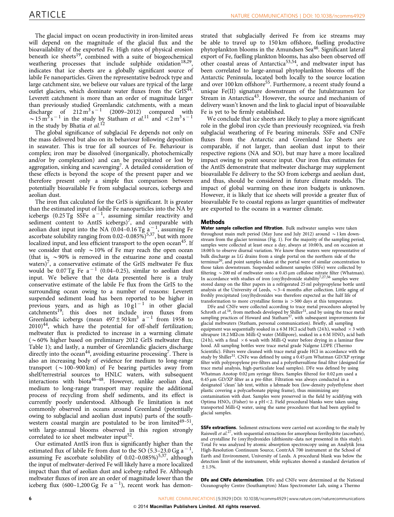The glacial impact on ocean productivity in iron-limited areas will depend on the magnitude of the glacial flux and the bioavailability of the exported Fe. High rates of physical erosion beneath ice sheets<sup>[19](#page-6-0)</sup>, combined with a suite of biogeochemical weathering processes that include sulphide oxidation<sup>18,29</sup>, indicates that ice sheets are a globally significant source of labile Fe nanoparticles. Given the representative bedrock type and large catchment size, we believe our values are typical of the large outlet glaciers, which dominate water fluxes from the  $GrIS^{44}$ . Leverett catchment is more than an order of magnitude larger than previously studied Greenlandic catchments, with a mean discharge of  $212 \text{ m}^3 \text{s}^{-1}$  (2009–2012) compared with  $\sim$  15 m<sup>3</sup> s<sup>-1</sup> in the study by Statham *et al.*<sup>[11](#page-6-0)</sup> and <2 m<sup>3</sup> s<sup>-1</sup> in the study by Bhatia et  $al$ .<sup>[12](#page-6-0)</sup>

The global significance of subglacial Fe depends not only on the mass delivered but also on its behaviour following deposition in seawater. This is true for all sources of Fe. Behaviour is complex; iron may be dissolved (inorganically, photochemically and/or by complexation) and can be precipitated or lost by aggregation, sinking and scavenging<sup>[7](#page-6-0)</sup>. A detailed consideration of these effects is beyond the scope of the present paper and we therefore present only a simple flux comparison between potentially bioavailable Fe from subglacial sources, icebergs and aeolian dust.

The iron flux calculated for the GrIS is significant. It is greater than the estimated input of labile Fe nanoparticles into the NA by icebergs (0.25 Tg SSFe  $a^{-1}$ , assuming similar reactivity and sediment content to AntIS icebergs)<sup>7</sup>, and comparable with aeolian dust input into the NA (0.04–0.16 Tg  $a^{-1}$ , assuming Fe ascorbate solubility ranging from  $0.02-0.085\%$ <sup>5,37</sup>, but with more localized input, and less efficient transport to the open ocean<sup>[45](#page-7-0)</sup>. If we consider that only  $\sim$  10% of Fe may reach the open ocean (that is,  $\sim$  90% is removed in the estuarine zone and coastal waters)<sup>7</sup>, a conservative estimate of the GrIS meltwater Fe flux would be 0.07 Tg Fe a $^{-1}$  (0.04–0.25), similar to aeolian dust input. We believe that the data presented here is a truly conservative estimate of the labile Fe flux from the GrIS to the surrounding ocean owing to a number of reasons: Leverett suspended sediment load has been reported to be higher in previous years, and as high as  $10g1^{-1}$  in other glacial catchments<sup>19</sup>; this does not include iron fluxes from Greenlandic icebergs (mean  $497 \pm 50$  km<sup>3</sup> a<sup>-1</sup> from 1958 to  $2010)^{44}$  $2010)^{44}$  $2010)^{44}$ , which have the potential for off-shelf fertilization; meltwater flux is predicted to increase in a warming climate ( $\sim$  60% higher based on preliminary 2012 GrIS meltwater flux; [Table 1](#page-3-0)); and lastly, a number of Greenlandic glaciers discharge directly into the ocean<sup>44</sup>, avoiding estuarine processing<sup>[7](#page-6-0)</sup>. There is also an increasing body of evidence for medium to long-range transport  $({\sim}100-900\,\mathrm{km})$  of Fe bearing particles away from shelf/terrestrial sources to HNLC waters, with subsequent interactions with biota<sup>46-48</sup>. However, unlike aeolian dust, medium to long-range transport may require the additional process of recycling from shelf sediments, and its effect is currently poorly understood. Although Fe limitation is not commonly observed in oceans around Greenland (potentially owing to subglacial and aeolian dust inputs) parts of the southwestern coastal margin are postulated to be iron limited $49-51$ , with large-annual blooms observed in this region strongly correlated to ice sheet meltwater input<sup>[52](#page-7-0)</sup>.

Our estimated AntIS iron flux is significantly higher than the estimated flux of labile Fe from dust to the SO  $(5.3-23.0 \text{ Gg a}^{-1})$ , assuming Fe ascorbate solubility of 0.02-0.085%)<sup>5,37</sup>, although the input of meltwater-derived Fe will likely have a more localized impact than that of aeolian dust and iceberg-rafted Fe. Although meltwater fluxes of iron are an order of magnitude lower than the iceberg flux (600-1,200 Gg Fe  $a^{-1}$ ), recent work has demon-

strated that subglacially derived Fe from ice streams may be able to travel up to 150 km offshore, fuelling productive phytoplankton blooms in the Amundsen Sea[46](#page-7-0). Significant lateral export of Fe, fuelling plankton blooms, has also been observed off other coastal areas of Antarctica<sup>[53,54](#page-7-0)</sup>, and meltwater input has been correlated to large-annual phytoplankton blooms off the Antarctic Peninsula, located both locally to the source location and over 100 km offshore<sup>[55](#page-7-0)</sup>. Furthermore, a recent study found a unique Fe(II) signature downstream of the Jutulstraumen Ice Stream in Antarctica<sup>[43](#page-7-0)</sup>. However, the source and mechanism of delivery wasn't known and the link to glacial input of bioavailable Fe is yet to be firmly established.

We conclude that ice sheets are likely to play a more significant role in the global iron cycle than previously recognized, via fresh subglacial weathering of Fe bearing minerals. SSFe and CNFe fluxes from the Antarctic and Greenland Ice Sheets are comparable, if not larger, than aeolian dust input to their respective regions (NA and SO), but may have a more localized impact owing to point source input. Our iron flux estimates for the AntIS demonstrate that meltwater discharge may supplement bioavailable Fe delivery to the SO from icebergs and aeolian dust, and thus, should be considered in future climate models. The impact of global warming on these iron budgets is unknown. However, it is likely that ice sheets will provide a greater flux of bioavailable Fe to coastal regions as larger quantities of meltwater are exported to the oceans in a warmer climate.

#### Methods

Water sample collection and filtration. Bulk meltwater samples were taken throughout main melt period (May June and July 2012) around  $\sim$  1 km downstream from the glacier terminus [\(Fig. 1](#page-2-0)). For the majority of the sampling period, samples were collected at least once a day, always at 10:00 h, and on occasion at 18:00 h to observe diurnal variation. We know these waters were representative of bulk discharge as LG drains from a single portal on the northern side of the terminus<sup>[20](#page-6-0)</sup>, and point samples taken at the portal were of similar concentration to those taken downstream. Suspended sediment samples (SSFe) were collected by filtering  $\sim$  200 ml of meltwater onto a 0.45 µm cellulose nitrate filter (Whatman).<br>In accordance with studies of iron (oxy)hydroxide stability<sup>[7,27,56](#page-6-0)</sup> samples were stored damp on the filter papers in a refrigerated 25 ml polypropylene bottle until analysis at the University of Leeds,  $\sim$  3–4 months after collection. Little aging of freshly precipitated (oxy)hydroxides was therefore expected as the half life of transformation to more crystalline forms is  $>500$  days at this temperature.

DFe and CNFe were collected according to trace metal procedures adopted by Schroth et al.<sup>[16](#page-6-0)</sup>, from methods developed by Shiller<sup>31</sup>, and by using the trace metal sampling practices of Howard and Statham<sup>[57](#page-7-0)</sup>, with subsequent improvements for glacial meltwaters (Statham, personal communication). Briefly, all sampling equipment was sequentially soaked in a 6 M HCl acid bath (24 h), washed  $\times$  3 with ultrapure 18.2 M $\Omega$  cm Milli-Q water (Millipore), soaked in a 6 M HNO<sub>3</sub> acid bath (24 h), with a final  $\times$  6 wash with Milli-Q water before drying in a laminar flow hood. All sampling bottles were trace metal grade Nalgene LDPE (Thermo Scientific). Filters were cleaned with trace metal grade HCl in accordance with the study by Shiller<sup>31</sup>. CNFe was defined by using a  $0.45 \mu m$  Whatman GD/XP syringe filter with polypropylene pre-filters and a polyethersulfone final filter (designed for trace metal analysis, high-particulate load samples). DFe was defined by using Whatman Anotop  $0.02 \mu m$  syringe filters. Samples filtered for  $0.02 \mu m$  used a  $0.45 \,\mu \text{m}$  GD/XP filter as a pre-filter. Filtration was always conducted in a designated 'clean' lab tent, within a labmade box (low-density polyethylene sheet plastic covering a polycarbonate piping frame), thus minimizing any contamination with dust. Samples were preserved in the field by acidifying with Optima  $HNO<sub>3</sub>$  (Fisher) to a pH < 2. Field procedural blanks were taken using transported Milli-Q water, using the same procedures that had been applied to glacial samples.

**SSFe extractions.** Sediment extractions were carried out according to the study by Raiswell *et al.*<sup>27</sup>, with sequential extractions for amorphous ferrihydrite (ascorbate), and crystalline Fe (oxy)hydroxides (dithionite–data not presented in this study). Total Fe was analyzed by atomic absorption spectroscopy using an Analytik Jena High-Resolution Continuum Source, ContrAA 700 instrument at the School of Earth and Environment, University of Leeds. A procedural blank was below the detection limit of the instrument, while replicates showed a standard deviation of ±1.5%.

DFe and CNFe determination. DFe and CNFe were determined at the National Oceanography Centre (Southampton) Mass Spectrometer Lab, using a Thermo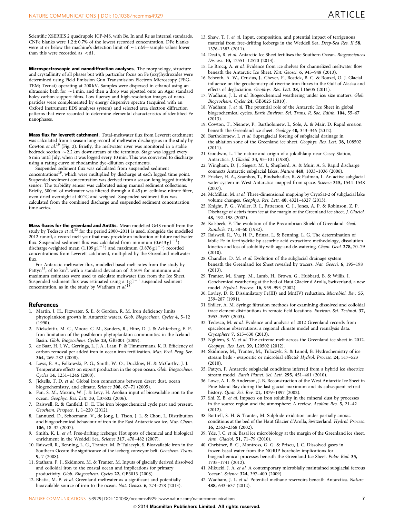<span id="page-6-0"></span>Scientific XSERIES 2 quadrupole ICP-MS, with Be, In and Re as internal standards. CNFe blanks were  $1.2 \pm 0.7\%$  of the lowest recorded concentration. DFe blanks were at or below the machine's detection limit of  $\sim$  1 nM—sample values lower than this were recorded as  $<$  d1.

Microspectroscopic and nanodiffraction analyses. The morphology, structure and crystallinity of all phases but with particular focus on Fe (oxy)hydroxides were determined using Field Emission Gun Transmission Electron Microscopy (FEG-TEM; Tecnai) operating at 200 kV. Samples were dispersed in ethanol using an ultrasonic bath for  $\sim$  1 min, and then a drop was pipetted onto an Agar standard holey carbon support films. Low fluency and high-resolution images of nanoparticles were complemented by energy dispersive spectra (acquired with an Oxford Instrument EDS analyses system) and selected area electron diffraction patterns that were recorded to determine elemental characteristics of identified Fe nanophases.

Mass flux for leverett catchment. Total-meltwater flux from Leverett catchment was calculated from a season long record of meltwater discharge as in the study by Cowton et al.<sup>19</sup> [\(Fig. 2](#page-2-0)). Briefly, the meltwater river was monitored in a stable bedrock section  $\sim$  2.2 km downstream of the terminus. Stage was logged every 5 min until July, when it was logged every 10 min. This was converted to discharge using a rating curve of rhodamine dye-dilution experiments.

Suspended sediment flux was calculated from suspended sediment concentrations19, which were multiplied by discharge at each logged time point. Suspended sediment concentration was derived from a season long logged turbidity sensor. The turbidity sensor was calibrated using manual sediment collections. Briefly, 300 ml of meltwater was filtered through a 0.45 µm cellulose nitrate filter, oven dried overnight at 40  $^{\circ}\textrm{C}$  and weighed. Suspended sediment flux was calculated from the combined discharge and suspended sediment concentration time series.

Mass fluxes for the greenland and AntISs. Mean modelled GrIS runoff from the study by Tedesco et  $aL^{32}$  for the period 2000–2011 is used, alongside the modelled 2012 runoff, a record melt year that may provide an indication of future meltwater flux. Suspended sediment flux was calculated from minimum  $(0.643 \text{ g l}^{-1})$ discharge-weighted mean (1.109 g l  $^{-1}$ ) and maximum (3.876 g l  $^{-1}$ ) recorded concentrations from Leverett catchment, multiplied by the Greenland meltwater flux.

For Antarctic meltwater flux, modelled basal melt rates from the study by Pattyn<sup>35</sup>, of 65 km<sup>3</sup>, with a standard deviation of  $\pm$  50% for minimum and maximum estimates were used to calculate meltwater flux from the Ice Sheet. Suspended sediment flux was estimated using a 1 g l  $^{-1}$  suspended sediment concentration, as in the study by Wadham et al.<sup>18</sup>

#### **References**

- 1. Martin, J. H., Fitzwater, S. E. & Gordon, R. M. Iron deficiency limits phytoplankton growth in Antarctic waters. Glob. Biogeochem. Cycles 4, 5–12 (1990).
- 2. Nielsdottir, M. C., Moore, C. M., Sanders, R., Hinz, D. J. & Achterberg, E. P. Iron limitation of the postbloom phytoplankton communities in the Iceland Basin. Glob. Biogeochem. Cycles 23, GB3001 (2009).
- 3. de Baar, H. J. W., Gerringa, L. J. A., Laan, P. & Timmermans, K. R. Efficiency of carbon removal per added iron in ocean iron fertilization. Mar. Ecol. Prog. Ser. 364, 269–282 (2008).
- 4. Laws, E. A., Falkowski, P. G., Smith, W. O., Ducklow, H. & McCarthy, J. J. Temperature effects on export production in the open ocean. Glob. Biogeochem. Cycles 14, 1231–1246 (2000).
- 5. Jickells, T. D. et al. Global iron connections between desert dust, ocean biogeochemistry, and climate. Science 308, 67–71 (2005).
- 6. Fan, S. M., Moxim, W. J. & Levy, H. Aeolian input of bioavailable iron to the ocean. Geophys. Res. Lett. 33, L07602 (2006).
- 7. Raiswell, R. & Canfield, D. E. The iron biogeochemical cycle past and present. Geochem. Perspect. 1, 1–220 (2012).
- 8. Lannuzel, D., Schoemann, V., de Jong, J., Tison, J. L. & Chou, L. Distribution and biogeochemical behaviour of iron in the East Antarctic sea ice. Mar. Chem. 106, 18-32 (2007).
- 9. Smith, K. L. et al. Free-drifting icebergs: Hot spots of chemical and biological enrichment in the Weddell Sea. Science 317, 478–482 (2007).
- 10. Raiswell, R., Benning, L. G., Tranter, M. & Tulaczyk, S. Bioavailable iron in the Southern Ocean: the significance of the iceberg conveyor belt. Geochem. Trans. 9, 7 (2008).
- 11. Statham, P. J., Skidmore, M. & Tranter, M. Inputs of glacially derived dissolved and colloidal iron to the coastal ocean and implications for primary productivity. Glob. Biogeochem. Cycles 22, GB3013 (2008).
- 12. Bhatia, M. P. et al. Greenland meltwater as a significant and potentially bioavailable source of iron to the ocean. Nat. Geosci. 6, 274–278 (2013).
- 13. Shaw, T. J. et al. Input, composition, and potential impact of terrigenous material from free-drifting icebergs in the Weddell Sea. Deep-Sea Res. II 58, 1376–1383 (2011).
- 14. Death, R. et al. Antarctic Ice Sheet fertilises the Southern Ocean. Biogeosciences Discuss. 10, 12551–12570 (2013).
- 15. Le Brocq, A. et al. Evidence from ice shelves for channelized meltwater flow beneath the Antarctic Ice Sheet. Nat. Geosci. 6, 945–948 (2013).
- 16. Schroth, A. W., Crusius, J., Chever, F., Bostick, B. C. & Rouxel, O. J. Glacial influence on the geochemistry of riverine iron fluxes to the Gulf of Alaska and effects of deglaciation. Geophys. Res. Lett. 38, L16605 (2011).
- 17. Wadham, J. L. et al. Biogeochemical weathering under ice: size matters. Glob. Biogeochem. Cycles 24, GB3025 (2010).
- 18. Wadham, J. et al. The potential role of the Antarctic Ice Sheet in global biogeochemical cycles. Earth Environ. Sci. Trans. R. Soc. Edinb. 104, 55–67 (2013).
- 19. Cowton, T., Nienow, P., Bartholomew, I., Sole, A. & Mair, D. Rapid erosion beneath the Greenland ice sheet. Geology 40, 343–346 (2012).
- 20. Bartholomew, I. et al. Supraglacial forcing of subglacial drainage in the ablation zone of the Greenland ice sheet. Geophys. Res. Lett. 38, L08502 (2011).
- 21. Goodwin, L. The nature and origin of a jokulhlaup near Casey Station, Antarctica. J. Glaciol. 34, 95–101 (1988).
- 22. Wingham, D. J., Siegert, M. J., Shepherd, A. & Muir, A. S. Rapid discharge connects Antarctic subglacial lakes. Nature 440, 1033–1036 (2006).
- 23. Fricker, H. A., Scambos, T., Bindschadler, R. & Padman, L. An active subglacial water system in West Antarctica mapped from space. Science 315, 1544–1548 (2007).
- 24. McMillan, M. et al. Three-dimensional mapping by CryoSat-2 of subglacial lake volume changes. Geophys. Res. Lett. 40, 4321–4327 (2013).
- 25. Knight, P. G., Waller, R. I., Patterson, C. J., Jones, A. P. & Robinson, Z. P. Discharge of debris from ice at the margin of the Greenland ice sheet. J. Glaciol. 48, 192–198 (2002).
- 26. Kalsbeek, F. The evolution of the Precambrian Shield of Greenland. Geol. Rundsch. 71, 38–60 (1982).
- 27. Raiswell, R., Vu, H. P., Brinza, L. & Benning, L. G. The determination of labile Fe in ferrihydrite by ascorbic acid extraction: methodology, dissolution kinetics and loss of solubility with age and de-watering. Chem. Geol. 278, 70–79 (2010).
- 28. Chandler, D. M. et al. Evolution of the subglacial drainage system beneath the Greenland Ice Sheet revealed by tracers. Nat. Geosci. 6, 195–198 (2013).
- 29. Tranter, M., Sharp, M., Lamb, H., Brown, G., Hubbard, B. & Willis, I. Geochemical weathering at the bed of Haut Glacier d'Arolla, Switzerland, a new model. Hydrol. Process. 16, 959–993 (2002).
- 30. Lovley, D. R. Dissimilatory Fe(III) and Mn(IV) reduction. Microbiol. Rev. 55, 259–287 (1991).
- 31. Shiller, A. M. Syringe filtration methods for examining dissolved and colloidal trace element distributions in remote field locations. Environ. Sci. Technol. 37, 3953–3957 (2003).
- 32. Tedesco, M. et al. Evidence and analysis of 2012 Greenland records from spaceborne observations, a regional climate model and reanalysis data. Cryosphere 7, 615–630 (2013).
- 33. Nghiem, S. V. et al. The extreme melt across the Greenland ice sheet in 2012. Geophys. Res. Lett. 39, L20502 (2012).
- 34. Skidmore, M., Tranter, M., Tulaczyk, S. & Lanoil, B. Hydrochemistry of ice stream beds - evaporitic or microbial effects? Hydrol. Process. 24, 517–523 (2010).
- 35. Pattyn, F. Antarctic subglacial conditions inferred from a hybrid ice sheet/ice stream model. Earth Planet. Sci. Lett. 295, 451–461 (2010).
- 36. Lowe, A. L. & Anderson, J. B. Reconstruction of the West Antarctic Ice Sheet in Pine Island Bay during the last glacial maximum and its subsequent retreat history. Quat. Sci. Rev. 21, 1879–1897 (2002).
- 37. Shi, Z. B. et al. Impacts on iron solubility in the mineral dust by processes in the source region and the atmosphere: A review. Aeolian Res. 5, 21–42 (2012).
- 38. Bottrell, S. H. & Tranter, M. Sulphide oxidation under partially anoxic conditions at the bed of the Haut Glacier d'Arolla, Switzerland. Hydrol. Process. 16, 2363–2368 (2002).
- 39. Yde, J. C. et al. Basal ice microbiology at the margin of the Greenland ice sheet. Ann. Glaciol. 51, 71–79 (2010).
- 40. Christner, B. C., Montross, G. G. & Priscu, J. C. Dissolved gases in frozen basal water from the NGRIP borehole: implications for biogeochemical processes beneath the Greenland Ice Sheet. Polar Biol. 35, 1735–1741 (2012).
- 41. Mikucki, J. A. et al. A contemporary microbially maintained subglacial ferrous 'ocean'. Science 324, 397–400 (2009).
- 42. Wadham, J. L. et al. Potential methane reservoirs beneath Antarctica. Nature 488, 633–637 (2012).